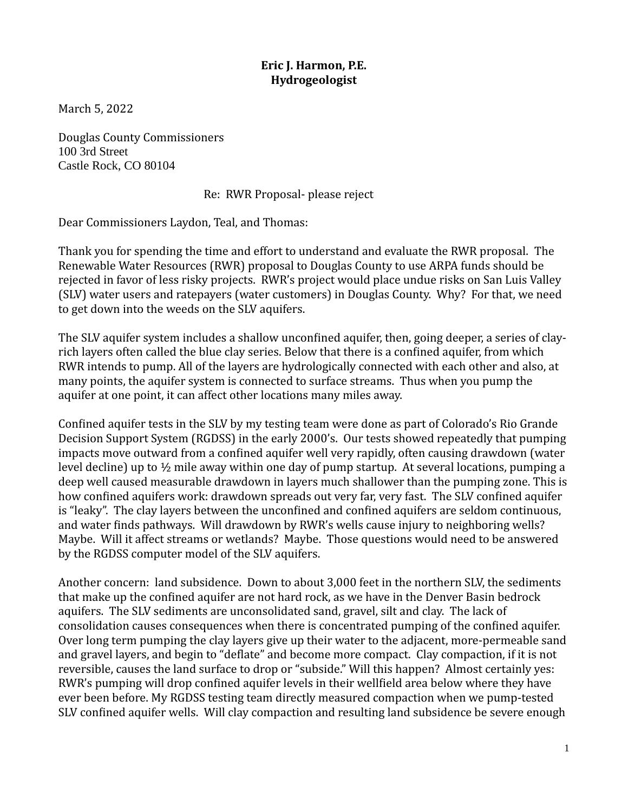## **Eric J. Harmon, P.E. Hydrogeologist**

March 5, 2022

Douglas County Commissioners 100 3rd Street Castle Rock, CO 80104

## Re: RWR Proposal- please reject

Dear Commissioners Laydon, Teal, and Thomas:

Thank you for spending the time and effort to understand and evaluate the RWR proposal. The Renewable Water Resources (RWR) proposal to Douglas County to use ARPA funds should be rejected in favor of less risky projects. RWR's project would place undue risks on San Luis Valley (SLV) water users and ratepayers (water customers) in Douglas County. Why? For that, we need to get down into the weeds on the SLV aquifers.

The SLV aquifer system includes a shallow unconfined aquifer, then, going deeper, a series of clayrich layers often called the blue clay series. Below that there is a confined aquifer, from which RWR intends to pump. All of the layers are hydrologically connected with each other and also, at many points, the aquifer system is connected to surface streams. Thus when you pump the aquifer at one point, it can affect other locations many miles away.

Confined aquifer tests in the SLV by my testing team were done as part of Colorado's Rio Grande Decision Support System (RGDSS) in the early 2000's. Our tests showed repeatedly that pumping impacts move outward from a confined aquifer well very rapidly, often causing drawdown (water level decline) up to  $\frac{1}{2}$  mile away within one day of pump startup. At several locations, pumping a deep well caused measurable drawdown in layers much shallower than the pumping zone. This is how confined aquifers work: drawdown spreads out very far, very fast. The SLV confined aquifer is "leaky". The clay layers between the unconfined and confined aquifers are seldom continuous, and water finds pathways. Will drawdown by RWR's wells cause injury to neighboring wells? Maybe. Will it affect streams or wetlands? Maybe. Those questions would need to be answered by the RGDSS computer model of the SLV aquifers.

Another concern: land subsidence. Down to about 3,000 feet in the northern SLV, the sediments that make up the confined aquifer are not hard rock, as we have in the Denver Basin bedrock aquifers. The SLV sediments are unconsolidated sand, gravel, silt and clay. The lack of consolidation causes consequences when there is concentrated pumping of the confined aquifer. Over long term pumping the clay layers give up their water to the adjacent, more-permeable sand and gravel layers, and begin to "deflate" and become more compact. Clay compaction, if it is not reversible, causes the land surface to drop or "subside." Will this happen? Almost certainly yes: RWR's pumping will drop confined aquifer levels in their wellfield area below where they have ever been before. My RGDSS testing team directly measured compaction when we pump-tested SLV confined aquifer wells. Will clay compaction and resulting land subsidence be severe enough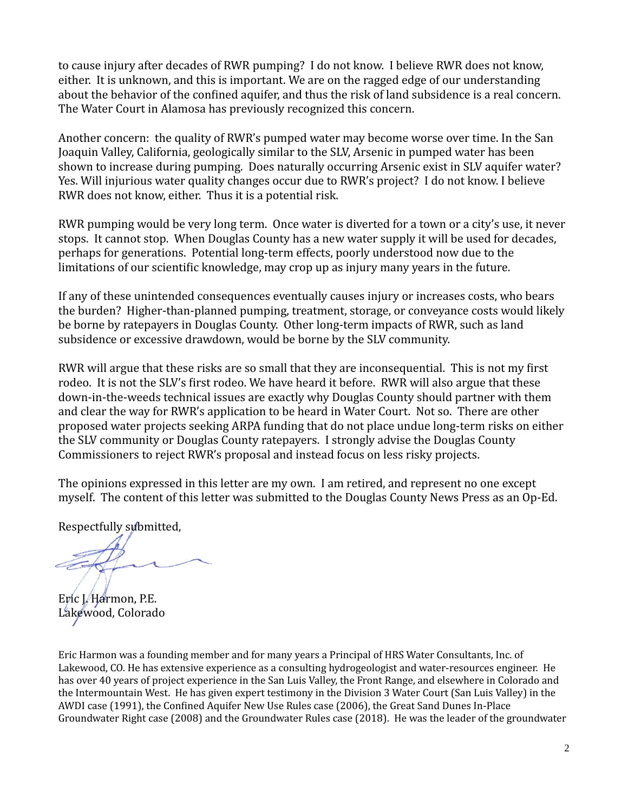to cause injury after decades of RWR pumping? I do not know. I believe RWR does not know, either. It is unknown, and this is important. We are on the ragged edge of our understanding about the behavior of the confined aquifer, and thus the risk of land subsidence is a real concern. The Water Court in Alamosa has previously recognized this concern.

Another concern: the quality of RWR's pumped water may become worse over time. In the San Joaquin Valley, California, geologically similar to the SLV, Arsenic in pumped water has been shown to increase during pumping. Does naturally occurring Arsenic exist in SLV aquifer water? Yes. Will injurious water quality changes occur due to RWR's project? I do not know. I believe RWR does not know, either. Thus it is a potential risk.

RWR pumping would be very long term. Once water is diverted for a town or a city's use, it never stops. It cannot stop. When Douglas County has a new water supply it will be used for decades, perhaps for generations. Potential long-term effects, poorly understood now due to the limitations of our scientific knowledge, may crop up as injury many years in the future.

If any of these unintended consequences eventually causes injury or increases costs, who bears the burden? Higher-than-planned pumping, treatment, storage, or conveyance costs would likely be borne by ratepayers in Douglas County. Other long-term impacts of RWR, such as land subsidence or excessive drawdown, would be borne by the SLV community.

RWR will argue that these risks are so small that they are inconsequential. This is not my first rodeo. It is not the SLV's first rodeo. We have heard it before. RWR will also argue that these down-in-the-weeds technical issues are exactly why Douglas County should partner with them and clear the way for RWR's application to be heard in Water Court. Not so. There are other proposed water projects seeking ARPA funding that do not place undue long-term risks on either the SLV community or Douglas County ratepayers. I strongly advise the Douglas County Commissioners to reject RWR's proposal and instead focus on less risky projects.

The opinions expressed in this letter are my own. I am retired, and represent no one except myself. The content of this letter was submitted to the Douglas County News Press as an Op-Ed.

Respectfully submitted,

Eric I./Harmon, P.E. Lakewood, Colorado

Eric Harmon was a founding member and for many years a Principal of HRS Water Consultants, Inc. of Lakewood, CO. He has extensive experience as a consulting hydrogeologist and water-resources engineer. He has over 40 years of project experience in the San Luis Valley, the Front Range, and elsewhere in Colorado and the Intermountain West. He has given expert testimony in the Division 3 Water Court (San Luis Valley) in the AWDI case (1991), the Confined Aquifer New Use Rules case (2006), the Great Sand Dunes In-Place Groundwater Right case (2008) and the Groundwater Rules case (2018). He was the leader of the groundwater